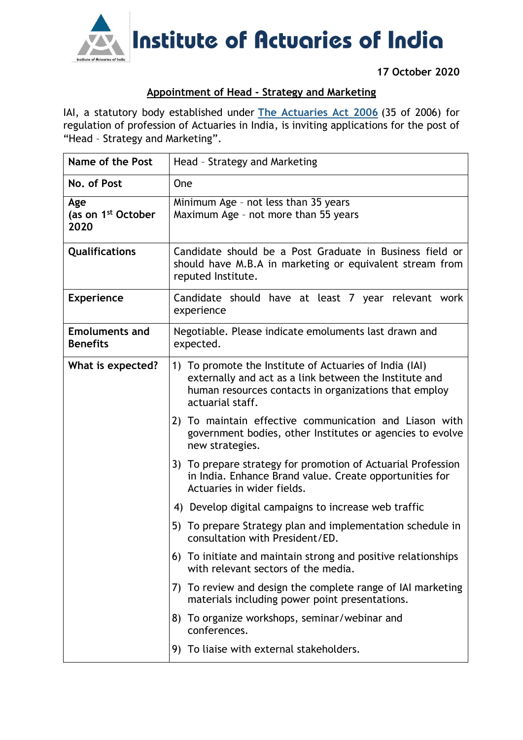

**17 October 2020**

## **Appointment of Head - Strategy and Marketing**

IAI, a statutory body established under **[The Actuaries Act 2006](http://www.actuariesindia.org/guidance/scanned%20GN.pdf)** (35 of 2006) for regulation of profession of Actuaries in India, is inviting applications for the post of "Head – Strategy and Marketing".

| Name of the Post                              | Head - Strategy and Marketing                                                                                                                                                                  |
|-----------------------------------------------|------------------------------------------------------------------------------------------------------------------------------------------------------------------------------------------------|
| No. of Post                                   | One                                                                                                                                                                                            |
| Age<br>(as on 1 <sup>st</sup> October<br>2020 | Minimum Age - not less than 35 years<br>Maximum Age - not more than 55 years                                                                                                                   |
| Qualifications                                | Candidate should be a Post Graduate in Business field or<br>should have M.B.A in marketing or equivalent stream from<br>reputed Institute.                                                     |
| <b>Experience</b>                             | Candidate should have at least 7 year relevant work<br>experience                                                                                                                              |
| <b>Emoluments and</b><br><b>Benefits</b>      | Negotiable. Please indicate emoluments last drawn and<br>expected.                                                                                                                             |
| What is expected?                             | 1) To promote the Institute of Actuaries of India (IAI)<br>externally and act as a link between the Institute and<br>human resources contacts in organizations that employ<br>actuarial staff. |
|                                               | 2) To maintain effective communication and Liason with<br>government bodies, other Institutes or agencies to evolve<br>new strategies.                                                         |
|                                               | 3) To prepare strategy for promotion of Actuarial Profession<br>in India. Enhance Brand value. Create opportunities for<br>Actuaries in wider fields.                                          |
|                                               | 4) Develop digital campaigns to increase web traffic                                                                                                                                           |
|                                               | 5) To prepare Strategy plan and implementation schedule in<br>consultation with President/ED.                                                                                                  |
|                                               | 6) To initiate and maintain strong and positive relationships<br>with relevant sectors of the media.                                                                                           |
|                                               | 7) To review and design the complete range of IAI marketing<br>materials including power point presentations.                                                                                  |
|                                               | 8) To organize workshops, seminar/webinar and<br>conferences.                                                                                                                                  |
|                                               | 9) To liaise with external stakeholders.                                                                                                                                                       |